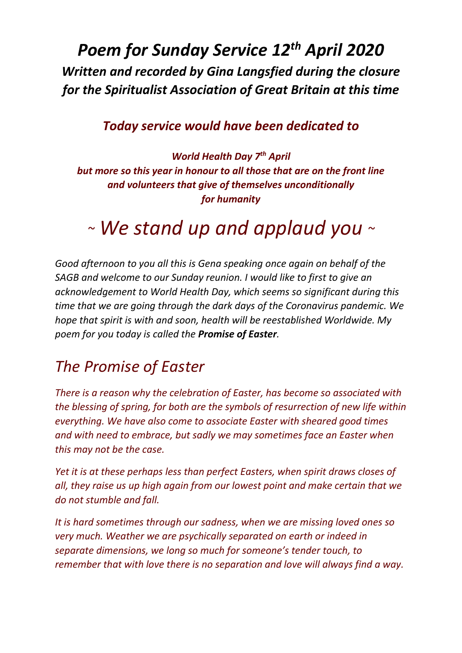## *Poem for Sunday Service 12th April 2020 Written and recorded by Gina Langsfied during the closure for the Spiritualist Association of Great Britain at this time*

## *Today service would have been dedicated to*

*World Health Day 7th April but more so this year in honour to all those that are on the front line and volunteers that give of themselves unconditionally for humanity* 

## *<sup>~</sup> We stand up and applaud you <sup>~</sup>*

*Good afternoon to you all this is Gena speaking once again on behalf of the SAGB and welcome to our Sunday reunion. I would like to first to give an acknowledgement to World Health Day, which seems so significant during this time that we are going through the dark days of the Coronavirus pandemic. We hope that spirit is with and soon, health will be reestablished Worldwide. My poem for you today is called the Promise of Easter.*

## *The Promise of Easter*

*There is a reason why the celebration of Easter, has become so associated with the blessing of spring, for both are the symbols of resurrection of new life within everything. We have also come to associate Easter with sheared good times and with need to embrace, but sadly we may sometimes face an Easter when this may not be the case.* 

*Yet it is at these perhaps less than perfect Easters, when spirit draws closes of all, they raise us up high again from our lowest point and make certain that we do not stumble and fall.* 

*It is hard sometimes through our sadness, when we are missing loved ones so very much. Weather we are psychically separated on earth or indeed in separate dimensions, we long so much for someone's tender touch, to remember that with love there is no separation and love will always find a way.*